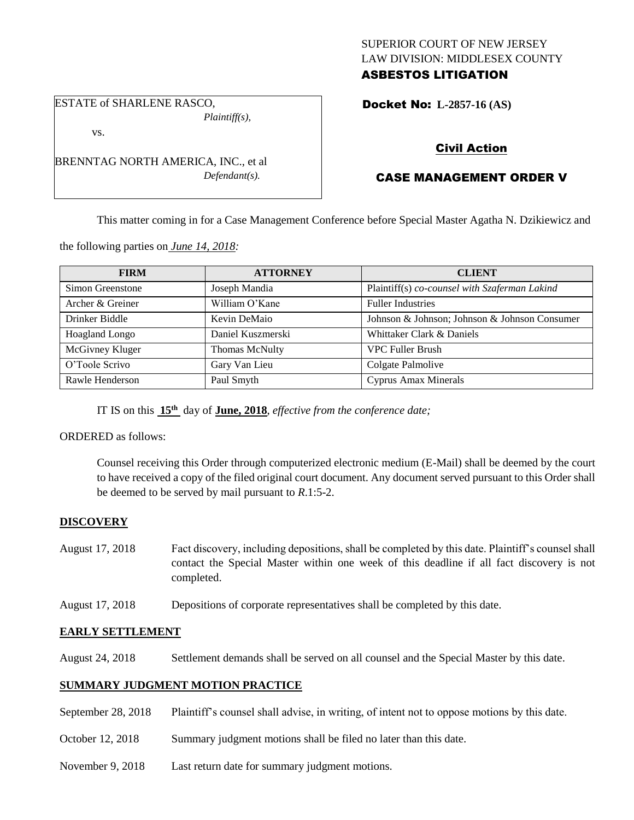## SUPERIOR COURT OF NEW JERSEY LAW DIVISION: MIDDLESEX COUNTY ASBESTOS LITIGATION

ESTATE of SHARLENE RASCO, *Plaintiff(s),*

vs.

BRENNTAG NORTH AMERICA, INC., et al *Defendant(s).*

# Docket No: **L-2857-16 (AS)**

# Civil Action

# CASE MANAGEMENT ORDER V

This matter coming in for a Case Management Conference before Special Master Agatha N. Dzikiewicz and

the following parties on *June 14, 2018:*

| <b>FIRM</b>      | <b>ATTORNEY</b>   | <b>CLIENT</b>                                 |
|------------------|-------------------|-----------------------------------------------|
| Simon Greenstone | Joseph Mandia     | Plaintiff(s) co-counsel with Szaferman Lakind |
| Archer & Greiner | William O'Kane    | <b>Fuller Industries</b>                      |
| Drinker Biddle   | Kevin DeMaio      | Johnson & Johnson; Johnson & Johnson Consumer |
| Hoagland Longo   | Daniel Kuszmerski | Whittaker Clark & Daniels                     |
| McGivney Kluger  | Thomas McNulty    | <b>VPC Fuller Brush</b>                       |
| O'Toole Scrivo   | Gary Van Lieu     | Colgate Palmolive                             |
| Rawle Henderson  | Paul Smyth        | Cyprus Amax Minerals                          |

IT IS on this  $15<sup>th</sup>$  day of **June, 2018**, *effective from the conference date*;

ORDERED as follows:

Counsel receiving this Order through computerized electronic medium (E-Mail) shall be deemed by the court to have received a copy of the filed original court document. Any document served pursuant to this Order shall be deemed to be served by mail pursuant to *R*.1:5-2.

## **DISCOVERY**

- August 17, 2018 Fact discovery, including depositions, shall be completed by this date. Plaintiff's counsel shall contact the Special Master within one week of this deadline if all fact discovery is not completed.
- August 17, 2018 Depositions of corporate representatives shall be completed by this date.

## **EARLY SETTLEMENT**

August 24, 2018 Settlement demands shall be served on all counsel and the Special Master by this date.

#### **SUMMARY JUDGMENT MOTION PRACTICE**

- September 28, 2018 Plaintiff's counsel shall advise, in writing, of intent not to oppose motions by this date.
- October 12, 2018 Summary judgment motions shall be filed no later than this date.
- November 9, 2018 Last return date for summary judgment motions.